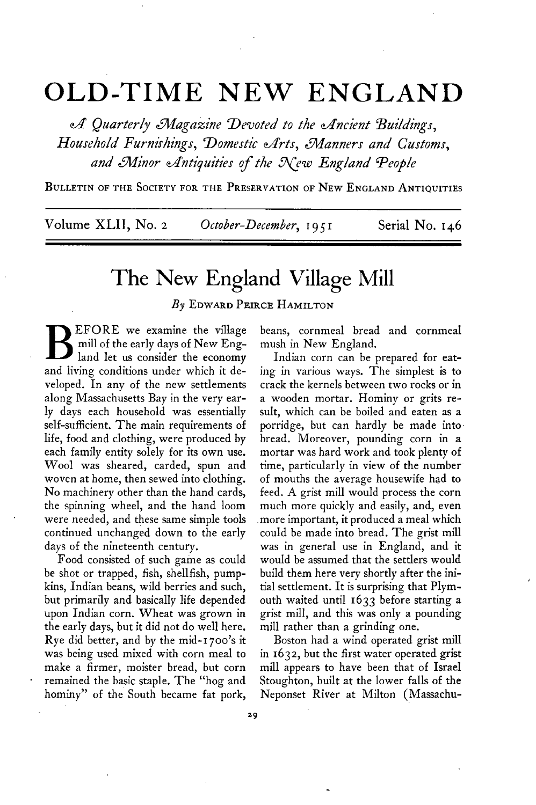## **OLD-TIME NEW ENGLAND**

**4 Quarterly L%!agaxine Devoted to the cffncient Buildings,**  Household Furnishings, Domestic Arts, Manners and Customs, and Minor Antiquities of the New England People

**BULLETIN OF THE SOCIETY FOR THE PRESERVATION OF NEW ENGLAND ANTIQUITIES** 

**Volume XLII, No. 2 October-December, T 9 5 I Serial No. 146** 

## **The New England Village Mill**

**By EDWARD PEIRCE HAMILTON** 

**B EFORE we examine the village mill of the early days of New England let us consider the economy and living conditions under which it developed. In any of the new settlements along Massachusetts Bay in the very ear**ly days each household was essentially **self-sufficient. The main requirements of life, food and clothing, were produced by each family entity solely for its own use. Wool was sheared, carded, spun and woven at home, then sewed into clothing. No machinery other than the hand cards, the spinning wheel, and the hand loom were needed, and these same simple tools continued unchanged down to the early days of the nineteenth century.** 

**Food consisted of such game as could be shot or trapped, fish, shellfish, pumpkins, Indian beans, wild berries and such, but primarily and basically life depended upon Indian corn. Wheat was grown in the early days, but it did not do well here. Rye did better, and by the mid-r 700's it was being used mixed with corn meal to make a firmer, moister bread, but corn remained the basic staple. The "hog and hominy" of the South became fat pork,** 

**beans, cornmeal bread and cornmeal mush in New England.** 

**Indian corn can be prepared for eating in various ways. The simplest is to crack the kernels between two rocks or in a wooden mortar. Hominy or grits result, which can be boiled and eaten as a porridge, but can hardly be made into. bread. Moreover, pounding corn in a mortar was hard work and took plenty of time, particularly in view of the number of mouths the average housewife had to feed. A grist mill would process the corn much more quickly and easily, and, even more important, it produced a meal which could be made into bread. The grist mill was in general use in England, and it would be assumed that the settlers would build them here very shortly after the initial settlement. It is surprising that Plymouth waited until 1633 before starting a grist mill, and this was only a pounding mill rather than a grinding one.** 

**Boston had a wind operated grist mill in 1632, but the first water operated grist mill appears to have been that of Israel Stoughton, built at the lower falls of the Neponset River at Milton (Massachu-**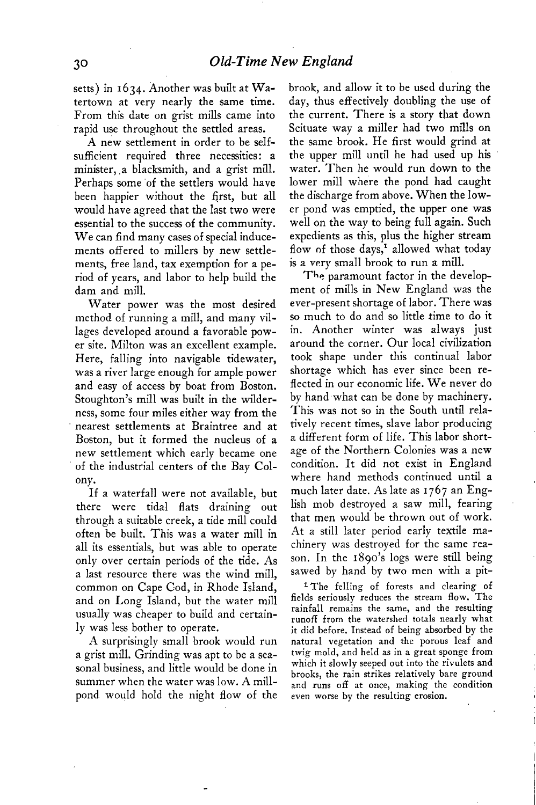**setts) in I 634. Another was built at Watertown at very nearly the same time. From this date on grist mills came into rapid use throughout the settled areas.** 

**A new settlement in order to be selfsufficient required three necessities: a minister, .a blacksmith, and a grist mill.**  Perhaps some of the settlers would have **been happier without the first, but all would have agreed that the last two were essential to the success of the community. We can find many cases of special inducements offered to millers by new settlements, free land, tax exemption for a period of years, and labor to help build the dam and mill.** 

**Water power was the most desired method of running a mill, and many villages developed around a favorable power site. Milton was an excellent example. Here, falling into navigable tidewater, was a river large enough for ample power and easy of access by boat from Boston. Stoughton's mill was built in the wilderness, some four miles either way from the nearest settlements at Braintree and at Boston, but it formed the nucleus of a new settlement which early became one of the industrial centers of the Bay Colony.** 

**If a waterfall were not available, but there were tidal flats draining out through a suitable creek, a tide mill could often be built. This was a water mill in all its essentials, but was able to operate only over certain periods of the tide. As a last resource there was the wind mill, common on Cape Cod, in Rhode Island, and on Long Island, but the water mill usually was cheaper to build and certainly was less bother to operate.** 

**A surprisingly small brook would run . . a grist mill. Grinding was apt to be a seasonal business, and little would be done in summer when the water was low. A millpond would hold the night flow of the** 

**brook, and allow it to be used during the day, thus effectively doubling the use of the current. There is a story that down Scituate way a miller had two mills on the same brook. He first would grind at the upper mill until he had used up his water. Then he would run down to the lower mill where the pond had caught the discharge from above. When the lower pond was emptied, the upper one was well on the way to being full again. Such expedients as this, plus the higher stream**  flow of those days,<sup>1</sup> allowed what today **is a very small brook to run a mill.** 

**The paramount factor in the development of mills in New England was the ever-present shortage of labor. There was so much to do and so littIe time to do it in. Another winter was always just around the corner. Our local civilization took shape under this continual labor shortage which has ever since been reflected in our economic life. We never do by hand what can be done by machinery. This was not so in the South until relatively recent times, slave labor producing a different form of life. This labor shortage of the Northern Colonies was a new condition. It did not exist in England where hand methods continued until a much later date. As late as 1767 an English mob destroyed a saw mill, fearing that men would be thrown out of work. At a still later period early textile machinery was destroyed for the same reason. In the 1890's logs were still being sawed by hand by two men with a pit-**

**l The felling of forests and clearing of fields seriouslv reduces the stream flow. The**  rainfall remains the same, and the resulting **runoff from the watershed totals nearly what it did before. Instead of being absorbed by the natural vegetation and the porous leaf and twig mold, and held as in a great sponge from which it slowly seeped out into the rivulets and brooks, the rain strikes relatively bare ground and runs off at once, making the condition even worse by the resulting erosion.**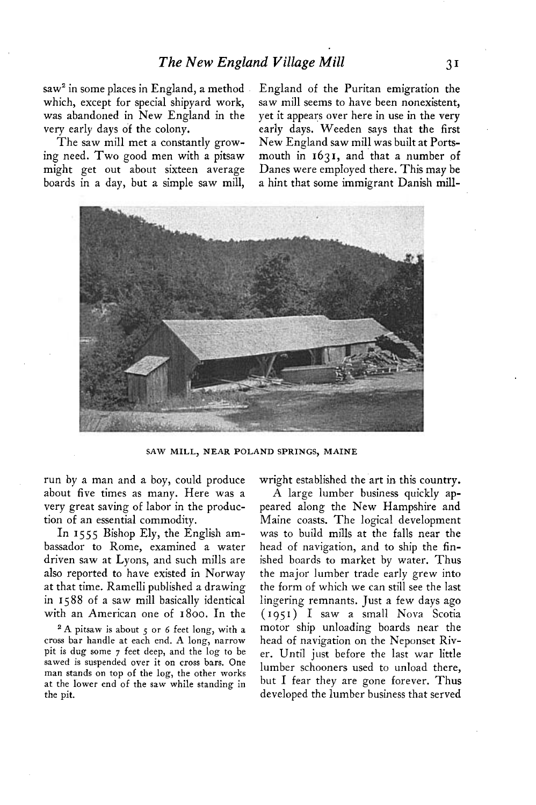**saw' in some places in England, a method which, except for special shipyard work, was abandoned in New England in the very early days of the colony.** 

**The saw mill met a constantly growing need. Two good men with a pitsaw might get out about sixteen average boards in a day, but a simple saw mill,**  **England of the Puritan emigration the saw mill seems to have been nonexistent, yet it appears over here in use in the very early days. Weeden says that the first New England saw mill was built at Portsmouth in 1631, and that a number of Danes were employed there. This may be a hint that some immigrant Danish mill-**



**SAW MILL, NEAR POLAND SPRINGS, MAINE** 

**run by a man and a boy, could produce about five times as many. Here was a very great saving of labor in the production of an essential commodity.** 

**In I 555 Bishop Ely, the English ambassador to Rome, examined a water driven saw at Lyons, and such mills are also reported to have existed in Norway at that time. Ramelli published a drawing in 1588 of a saw mill basically identical with an American one of 1800. In the** 

**2A pitsaw is about 5 or 6 feet long, with a cross bar handle at each end. A long, narrow pit is dug some 7 feet deep, and the log to be sawed is suspended over it on cross bars. One man stands on top of the log, the other works at the lower end of the saw while standing in the pit.** 

**wright established the art in. this country.** 

**A large lumber business quickly appeared along the New Hampshire and Maine coasts. The logical development was to build mills at the falls near the head of navigation, and to ship the finished boards to market by water. Thus the major lumber trade early grew into the form of which we can still see the last lingering remnants. Just a few days ago ( I 95 I ) I saw a small Nova Scotia motor ship unloading boards near the head of navigation on the Neponset River. Until just before the last war little lumber schooners used to unload there, but I fear they are gone forever. Thus developed the lumber business that served**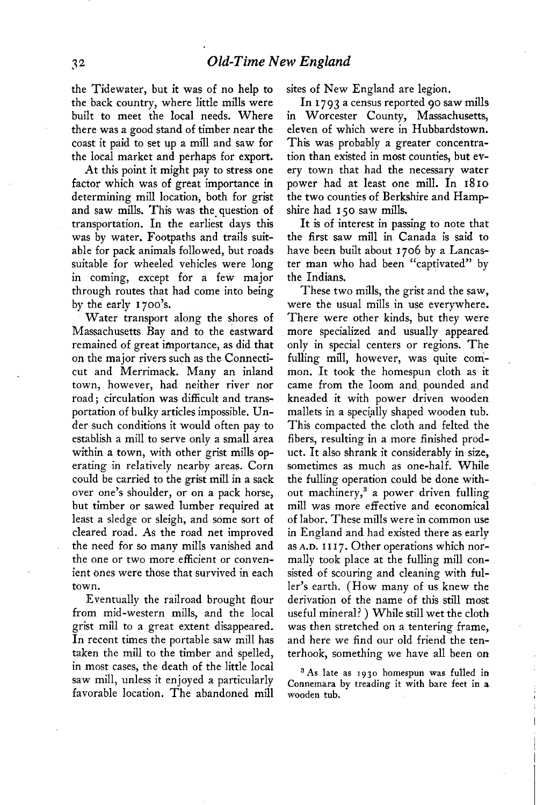**the Tidewater, but it was of no help to the back country, where little mills were built to meet the local needs. Where there was a good stand of timber near the coast it paid to set up a mill and saw for the local market and perhaps for export.** 

**At this point it might pay to stress one factor which was of great importance in determining mill location, both for grist and saw mills. This was the\_ question of transportation. In the earliest days this was by water. Footpaths and trails suitable for pack animals followed, but roads suitable for wheeled vehicles were long in coming, except for a few major through routes that had come into being by the early 1700's.** 

**Water transport along the shores of Massachusetts Bay and to the eastward remained of great importance, as did that on the major rivers such as the Connecticut and Merrimack. Many an inland town, however, had neither river nor road; circulation was difficult and transportation of bulky articles impossible. Under such conditions it would often pay-to establish a mill to serve only a small area within a town, with other grist mills operating in relatively nearby areas. Corn could be carried to the grist mill in a sack over one's shoulder, or on a pack horse, but timber or sawed lumber required at least a sledge or sleigh, and some sort of cleared road. As the road net improved the need for so many mills vanished and the one or two more efficient or convenient ones were those that survived in each town.** 

**Eventually the railroad brought flour from mid-western mills, and the local grist mill to a great extent disappeared. In recent times the portable saw mill has taken the mill to the timber and spelled, in most cases, the death of the little local saw mill, unless it enjoyed a particularly favorable location. The abandoned mill**  **sites of New England are legion.** 

**In 1793 a census reported 90 saw mills in Worcester County, Massachusetts, eleven of which were in Hubbardstown. This was probably a greater concentration than existed in most counties, but every town that had the necessary water power had at least one mill. In 1810 the two counties of Berkshire and Hampshire had 150 saw mills.** 

**It is of interest in passing to note that the first saw mill in Canada is said to have been built about 1706 by a Lancaster man who had been "captivated" by the Indians.** 

**These two mills, the grist and the saw, were the usual mills in use everywhere. There were other kinds, but they were more specialized and usually appeared only in special centers or regions. The fulling mill, however, was quite common. It took the homespun cloth as it came from the loom and. pounded and kneaded it with power driven wooden**  mallets in a specially shaped wooden tub. **This compacted the cloth and felted the fibers, resulting in a more finished product. It also shrank it considerably in size, sometimes as much as one-half. While the fulling operation could be done without machinery,3 a power driven fulling mill was more effective and economical of labor. These mills were in common use in England and had existed there as early as A.D. I I I 7. Other operations which normally took place at the fulling mill consisted of scouring and cleaning with fuller's earth. (How many of us knew the derivation of the name of this still most useful mineral? ) While still wet the cloth was then stretched on a tentering frame, and here we find our old friend the tenterhook, something we have all been on** 

**3 As late as I 930 homespun was fulled in**  Connemara by treading it with bare feet in a **wooden tub.**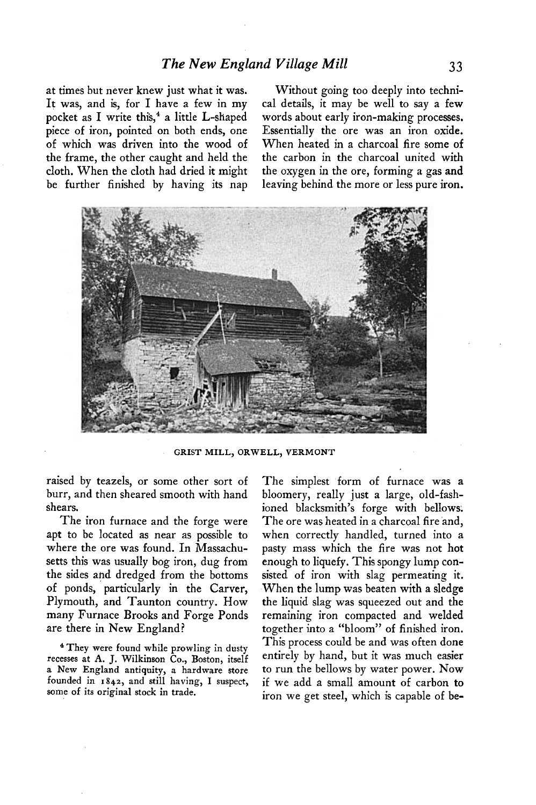**It was, and is, for I have a few in my cal details, it may be well to say a few**  pocket as I write this,<sup>4</sup> a little L-shaped words about early iron-making processes. **piece of iron, pointed on both ends, one Essentially the ore was an iron oxide. of which was driven into the wood of When heated in a charcoal fire some of the frame, the other caught and held the the carbon in the charcoal united with cloth. When the cloth had dried it might the oxygen in the ore, forming a gas and** 

**at times but never knew just what it was. Without going too deeply into technibe further finished by having its nap leaving behind the more or less pure iron.** 



**GRIST MILL, ORWELL, VERMONT** 

**raised by teazels, or some other sort of burr, and then sheared smooth with hand shears.** 

**The iron furnace and the forge were apt to be located as near as possible to where the ore was found. In Massachusetts this was usually bog iron, dug from the sides and dredged from the bottoms of ponds, particularly in the Carver, Plymouth, and Taunton country. How many Furnace Brooks and Forge Ponds are there in New England?** 

**4 They were found while prowling in dusty recesses at A. J. Wilkinson Co., Boston, itself a New England antiquity, a hardware store founded in 1842, and still having, I suspect, some of its original stock in trade.** 

**The simplest form of furnace was a bloomery, really just a large, old-fashioned blacksmith's forge with bellows. The ore was heated in a charcoal fire and, when correctly handled, turned into a pasty mass which the fire was not hot enough to liquefy. This spongy lump consisted of iron with slag permeating it. When the lump was beaten with a sledge the liquid slag was squeezed out and the remaining iron compacted and welded together into a "bloom" of finished iron. This process could be and was often done entirely by hand, but it was much easier to run the bellows by water power. Now if we add a small amount of carbon to iron we get steel, which is capable of be-**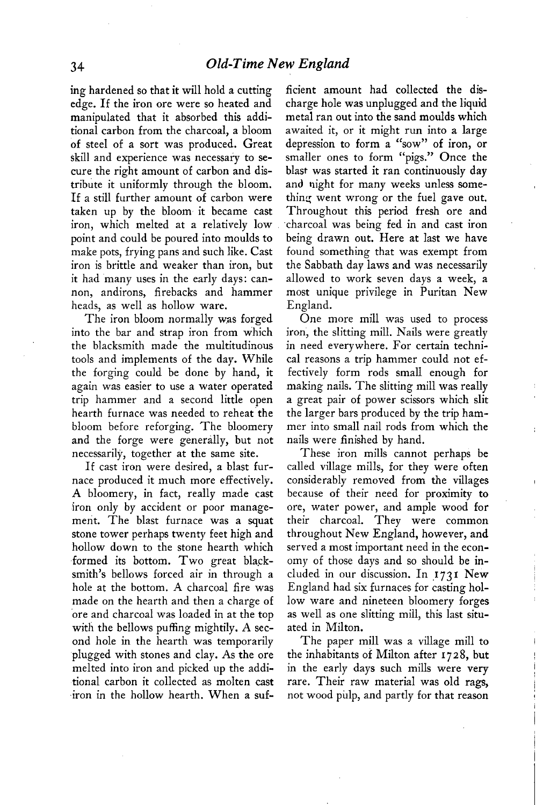**edge. If the iron ore were so heated and charge hole was unplugged and the liquid manipulated that it absorbed this addi- metal ran out into the sand moulds which tional carbon from the charcoal, a bloom awaited it, or it might run into a large of steel of a sort was produced. Great depression to form a "sow" of iron, or skill and experience was necessary to se- smaller ones to form "pigs." Once the cure the right amount of carbon and dis- blast was started it ran continuously day tribute it uniformly through the bloom. and night for many weeks unless some-**If a still further amount of carbon were thing went wrong or the fuel gave out. **taken up by the bloom it became cast Throughout this period fresh ore and iron, which melted at a relatively low charcoal was being fed in and cast iron point and could be poured into moulds to being drawn out. Here at last we have make pots, frying pans and such like. Cast found something that was exempt from iron is brittle and weaker than iron, but the Sabbath day laws and was necessarily it had many uses in the early days: can- allowed to work seven days a week, a non, andirons, firebacks and hammer most unique privilege in Puritan New heads, as well as hollow ware. England.** 

**The iron bloom normally was forged into the bar and strap iron from which the blacksmith made the multitudinous tools and implements of the day. While the forging could be done by hand, it again was easier to use a water operated trip hammer and a second little open hearth furnace was needed to reheat the bloom before reforging. The bloomery and the forge were generally, but not necessarily, together at the same site.** 

**If cast iron were desired, a blast furnace produced it much more effectively. A bloomery, in fact, really made cast iron only by accident or poor management. The blast furnace was a squat stone tower perhaps twenty feet high and hollow down to the stone hearth which .formed its bottom. Two great blacksmith's bellows forced air in through a hole at the bottom. A charcoal fire was made on the hearth and then a charge of 'ore and charcoal was loaded in at the top with the bellows puffing mightily. A second hole in the hearth was temporarily plugged with stones and clay. As the ore melted into iron and picked up the additional carbon it collected as molten cast iron in the hollow hearth. When a suf-**

**ing hardened so that it will hold a cutting ficient amount had collected the dis-**

**One more mill was used to process iron, the slitting mill. Nails were greatly in need everywhere. For certain technical reasons a trip hammer could not effectively form rods small enough for making nails. The slitting mill was really a great pair of power scissors which slit the larger bars produced by the trip hammer into small nail rods from which the nails were finished by hand.** 

**These iron mills cannot perhaps be called village mills, for they were often considerably removed from the villages because of their need for proximity to ore, water power, and ample wood for their charcoal. They were common throughout New England, however, and served a most important need in the economy of those days and so should be included in our discussion. In .1731 New England had six furnaces for casting hollow ware and nineteen bloomery forges as well as one slitting mill, this last situated in Milton.** 

**The paper mill was a village mill to the inhabitants of Milton after 1728, but in the early days such mills were very rare. Their raw material was old rags, not wood pulp, and partly for that reason**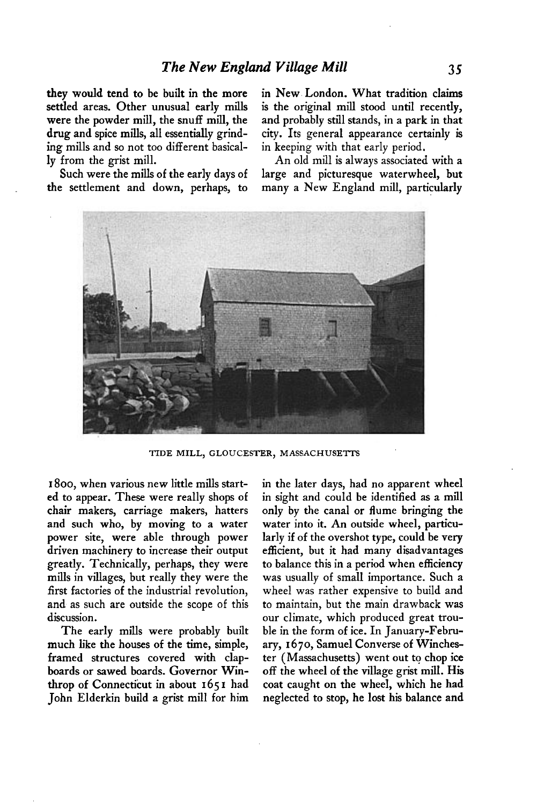**they would tend to be built in the more settled areas. Other unusual early mills were the powder mill, the snuff mill, the drug and spice mills, all essentially grinding mills and So not too different basically from the grist mill.** 

**Such were the mills of the early days of the settlement and down, perhaps, to** 

**in New London. What tradition claims is the original mill stood until recently, and probably still stands, in a park in that city. Its general appearance certainly is in keeping with that early period,** 

**An old mill is always associated with a large and picturesque waterwheel, but many a New England mill, particularly** 



**TIDE MILL, GLOUCESTER, MASSACHUSETTS** 

**I 800, when various new little mills started to appear. These were really shops of chair makers, carriage makers, hatters and such who, by moving to a water power site, were able through power driven machinery to increase their output greatly. Technically, perhaps, they were mills in villages, but really they were the first factories of the industrial revolution, and as such are outside the scope of this discussion.** 

**The early mills were probably built much like the houses of the time, simple, framed structures covered with clapboards or Sawed boards. Governor Winthrop of Connecticut in about 165 I had John Elderkin build a grist mill for him**  **in the later days, had no apparent wheel in sight and could be identified as a mill only by the canal or flume bringing the water into it. An outside wheel, particularly if of the overshot type, could be very efficient, but it had many disadvantages to balance this in a period when efficiency was usually of small importance. Such a wheel was rather expensive to build and to maintain, but the main drawback was our climate, which produced great trouble in the form of ice. In January-February, I 670, Samuel Converse of Winchester (Massachusetts) went out to chop ice off the wheel of the village grist mill. His coat caught on the wheel, which he had neglected to stop, he lost his balance and**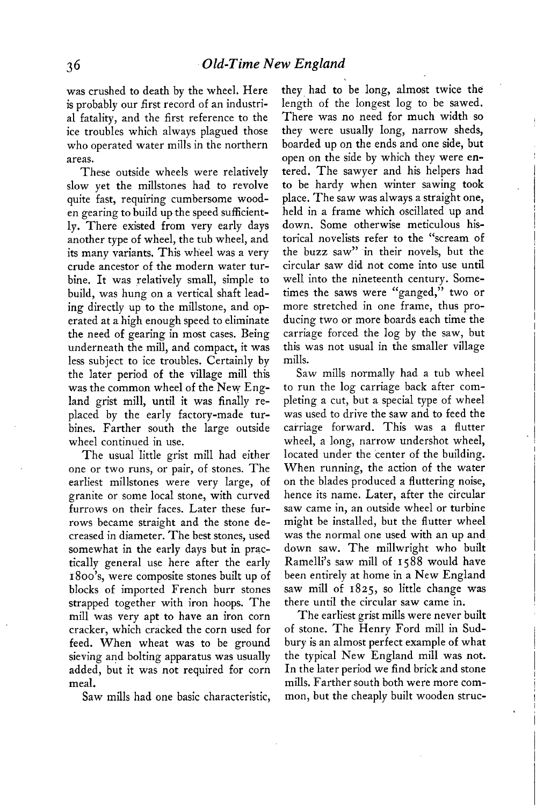**was crushed to death by the wheel. Here is probably our first record of an industrial fatality, and the first reference to the ice troubles which always plagued those who operated water mills in the northern areas.** 

**These outside wheels were relatively slow yet the millstones had to revolve quite fast, requiring cumbersome wooden gearing to build up the speed sufficiently. There existed from very early days another type of wheel, the tub wheel, and its many variants. This wheel was a very crude ancestor of the modern water turbine. It was relatively small, simple to build, was hung on a vertical shaft leading directly up to the millstone, and operated at a high enough speed to eliminate the need of gearing in most cases. Being underneath the mill, and compact, it was less subject to ice troubles. Certainly by the later period of the village mill this was the common wheel of the New England grist mill, until it was finally replaced by the early factory-made turbines. Farther south the large outside wheel continued in use.** 

The usual little grist mill had either **one or two runs, or pair, of stones. The earliest millstones were very large, of granite or some local stone, with curved furrows on their faces. Later these furrows became straight and the stone decreased in diameter. The best stones, used somewhat in the early days but in practically general use here after the early 1800's, were composite stones built up of blocks of imported French burr stones strapped together with iron hoops. The mill was very apt to have an iron corn cracker, which cracked the corn used for feed. When wheat was to be ground sieving and bolting apparatus was usually added, but it was not required for corn meal.** 

**Saw mills had one basic characteristic,** 

**they had to be long, almost twice the length of the longest log to be sawed. There was no need for much width so they were usually long, narrow sheds, boarded up on the ends and one side, but open on the side by which they were entered. The sawyer and his helpers had to be hardy when winter sawing took place. The saw was always a straight one, held in a frame which oscillated up and down. Some otherwise meticulous historical novelists refer to the "scream of the buzz saw" in their novels, but the circular saw did not come into use until well into the nineteenth century. Sometimes the saws were "ganged," two or more stretched in one frame, thus producing two or more boards each time the carriage forced the log by the saw, but this was not usual in the smaller village mills.** 

**Saw mills normally had a tub wheel to run the log carriage back after completing a cut, but a special type of wheel was used to drive the saw and to feed the carriage forward. This was a flutter wheel, a long, narrow undershot wheel, located under the center of the building. When running, the action of the water on the blades produced a fluttering noise, hence its name. Later, after the circular saw came in, an outside wheel or turbine might be installed, but the flutter wheel was the normal one used with an up and down saw. The millwright who built Ramelli's saw mill of 1588 would have been entirely at home in a New England saw mill of 1825, so little change was there until the circular saw came in.** 

**The earliest grist mills were never built of stone. The Henry Ford mill in Sudbury is an almost perfect example of what the typical New England mill was not. In the later period we find brick and stone mills. Farther south both were more common, but the cheaply built wooden struc-**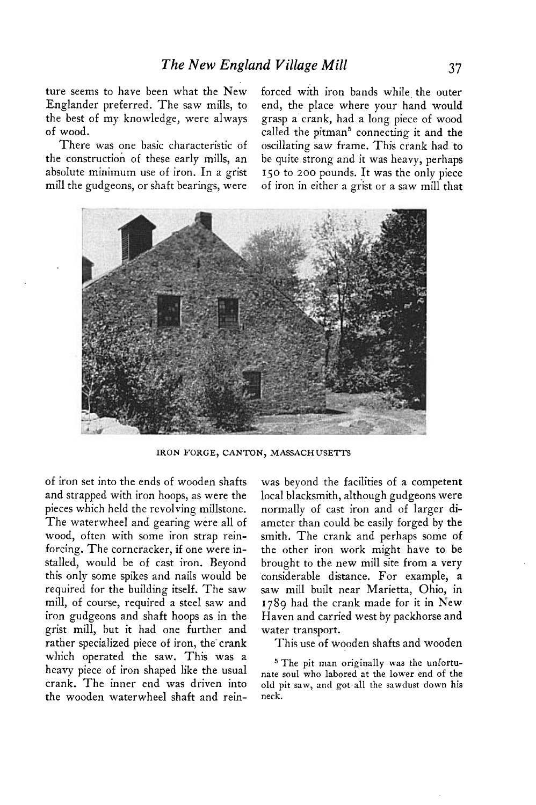**ture seems to have been what the New Englander preferred. The saw mills, to the best of my knowledge, were always of wood.** 

**There was one basic characteristic of the construction of these early mills, an absolute minimum use of iron. In a grist mill the gudgeons, or shaft bearings, were**  **forced with iron bands while the outer end, the place where your hand would grasp a crank, had a long piece of wood called the pitman' connecting it and the oscillating saw frame. This crank had to be quite strong and it was heavy, perhaps 150 to 200 pounds. It was the only piece of iron in either a grist or a saw mill that** 



**IRON FORGE, CANTON, MASSACHUSETTS** 

**of iron set into the ends of wooden shafts and strapped with iron hoops, as were the pieces which held the revolving millstone. The waterwheel and gearing were all of wood, often with some iron strap reinforcing. The corncracker, if one were installed, would be of cast iron. Beyond this only some spikes and nails would be required for the building itself. The saw mill, of course, required a steel saw and iron gudgeons and shaft hoops as in the grist mill, but it had one further and**  rather specialized piece of iron, the crank **which operated the saw. This was a heavy piece of iron shaped like the usual**  crank. The inner end was driven into old pit saw, and got all the sawdust down his **the wooden waterwheel shaft and rein- neck.** 

**was beyond the facilities of a competent local blacksmith, although gudgeons were normally of cast iron and of larger diameter than could be easily forged by the smith. The crank and perhaps some of the other iron work might have to be brought to the new mill site from a very considerable distance. For example, a saw mill built near Marietta, Ohio, in 1789 had the crank made for it in New Haven and carried west by packhorse and water transport.** 

**This use of wooden shafts and wooden** 

**5 The pit man originally was the unfortunate soul who labored at the lower end of the I I -**